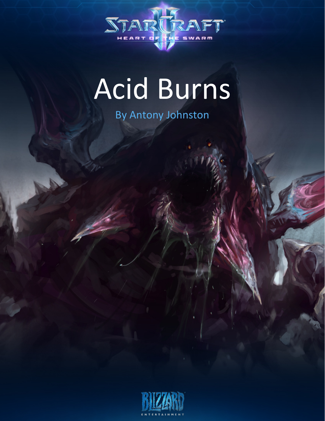

# Acid Burns

By Antony Johnston

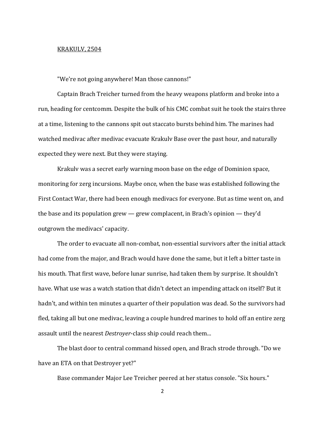#### KRAKULV, 2504

"We're not going anywhere! Man those cannons!"

Captain Brach Treicher turned from the heavy weapons platform and broke into a run, heading for centcomm. Despite the bulk of his CMC combat suit he took the stairs three at a time, listening to the cannons spit out staccato bursts behind him. The marines had watched medivac after medivac evacuate Krakulv Base over the past hour, and naturally expected they were next. But they were staying.

Krakulv was a secret early warning moon base on the edge of Dominion space, monitoring for zerg incursions. Maybe once, when the base was established following the First Contact War, there had been enough medivacs for everyone. But as time went on, and the base and its population grew — grew complacent, in Brach's opinion — they'd outgrown the medivacs' capacity.

The order to evacuate all non-combat, non-essential survivors after the initial attack had come from the major, and Brach would have done the same, but it left a bitter taste in his mouth. That first wave, before lunar sunrise, had taken them by surprise. It shouldn't have. What use was a watch station that didn't detect an impending attack on itself? But it hadn't, and within ten minutes a quarter of their population was dead. So the survivors had fled, taking all but one medivac, leaving a couple hundred marines to hold off an entire zerg assault until the nearest *Destroyer*-class ship could reach them...

The blast door to central command hissed open, and Brach strode through. "Do we have an ETA on that Destroyer yet?"

Base commander Major Lee Treicher peered at her status console. "Six hours."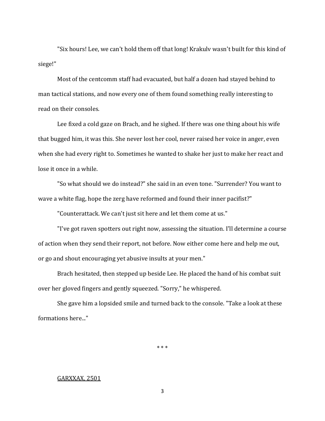"Six hours! Lee, we can't hold them off that long! Krakulv wasn't built for this kind of siege!"

Most of the centcomm staff had evacuated, but half a dozen had stayed behind to man tactical stations, and now every one of them found something really interesting to read on their consoles.

Lee fixed a cold gaze on Brach, and he sighed. If there was one thing about his wife that bugged him, it was this. She never lost her cool, never raised her voice in anger, even when she had every right to. Sometimes he wanted to shake her just to make her react and lose it once in a while.

"So what should we do instead?" she said in an even tone. "Surrender? You want to wave a white flag, hope the zerg have reformed and found their inner pacifist?"

"Counterattack. We can't just sit here and let them come at us."

"I've got raven spotters out right now, assessing the situation. I'll determine a course of action when they send their report, not before. Now either come here and help me out, or go and shout encouraging yet abusive insults at your men."

Brach hesitated, then stepped up beside Lee. He placed the hand of his combat suit over her gloved fingers and gently squeezed. "Sorry," he whispered.

She gave him a lopsided smile and turned back to the console. "Take a look at these formations here..."

\* \* \*

## GARXXAX, 2501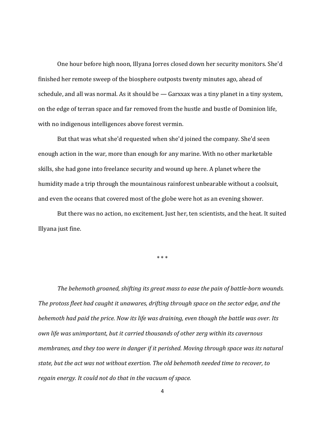One hour before high noon, Illyana Jorres closed down her security monitors. She'd finished her remote sweep of the biosphere outposts twenty minutes ago, ahead of schedule, and all was normal. As it should be *—* Garxxax was a tiny planet in a tiny system, on the edge of terran space and far removed from the hustle and bustle of Dominion life, with no indigenous intelligences above forest vermin.

But that was what she'd requested when she'd joined the company. She'd seen enough action in the war, more than enough for any marine. With no other marketable skills, she had gone into freelance security and wound up here. A planet where the humidity made a trip through the mountainous rainforest unbearable without a coolsuit, and even the oceans that covered most of the globe were hot as an evening shower.

But there was no action, no excitement. Just her, ten scientists, and the heat. It suited Illyana just fine.

\* \* \*

*The behemoth groaned, shifting its great mass to ease the pain of battle-born wounds. The protoss fleet had caught it unawares, drifting through space on the sector edge, and the behemoth had paid the price. Now its life was draining, even though the battle was over. Its own life was unimportant, but it carried thousands of other zerg within its cavernous membranes, and they too were in danger if it perished. Moving through space was its natural state, but the act was not without exertion. The old behemoth needed time to recover, to regain energy. It could not do that in the vacuum of space.*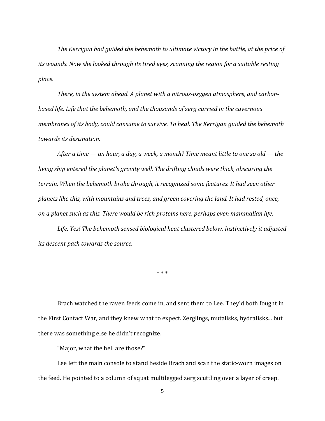*The Kerrigan had guided the behemoth to ultimate victory in the battle, at the price of its wounds. Now she looked through its tired eyes, scanning the region for a suitable resting place.*

*There, in the system ahead. A planet with a nitrous-oxygen atmosphere, and carbonbased life. Life that the behemoth, and the thousands of zerg carried in the cavernous membranes of its body, could consume to survive. To heal. The Kerrigan guided the behemoth towards its destination.*

*After a time — an hour, a day, a week, a month? Time meant little to one so old — the living ship entered the planet's gravity well. The drifting clouds were thick, obscuring the terrain. When the behemoth broke through, it recognized some features. It had seen other planets like this, with mountains and trees, and green covering the land. It had rested, once, on a planet such as this. There would be rich proteins here, perhaps even mammalian life.*

*Life. Yes! The behemoth sensed biological heat clustered below. Instinctively it adjusted its descent path towards the source.*

\* \* \*

Brach watched the raven feeds come in, and sent them to Lee. They'd both fought in the First Contact War, and they knew what to expect. Zerglings, mutalisks, hydralisks... but there was something else he didn't recognize.

"Major, what the hell are those?"

Lee left the main console to stand beside Brach and scan the static-worn images on the feed. He pointed to a column of squat multilegged zerg scuttling over a layer of creep.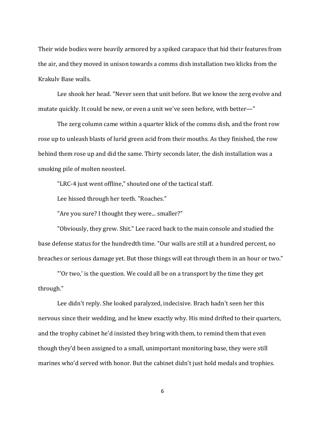Their wide bodies were heavily armored by a spiked carapace that hid their features from the air, and they moved in unison towards a comms dish installation two klicks from the Krakulv Base walls.

Lee shook her head. "Never seen that unit before. But we know the zerg evolve and mutate quickly. It could be new, or even a unit we've seen before, with better—"

The zerg column came within a quarter klick of the comms dish, and the front row rose up to unleash blasts of lurid green acid from their mouths. As they finished, the row behind them rose up and did the same. Thirty seconds later, the dish installation was a smoking pile of molten neosteel.

"LRC-4 just went offline," shouted one of the tactical staff.

Lee hissed through her teeth. "Roaches."

"Are you sure? I thought they were... smaller?"

"Obviously, they grew. Shit." Lee raced back to the main console and studied the base defense status for the hundredth time. "Our walls are still at a hundred percent, no breaches or serious damage yet. But those things will eat through them in an hour or two."

"'Or two,' is the question. We could all be on a transport by the time they get through."

Lee didn't reply. She looked paralyzed, indecisive. Brach hadn't seen her this nervous since their wedding, and he knew exactly why. His mind drifted to their quarters, and the trophy cabinet he'd insisted they bring with them, to remind them that even though they'd been assigned to a small, unimportant monitoring base, they were still marines who'd served with honor. But the cabinet didn't just hold medals and trophies.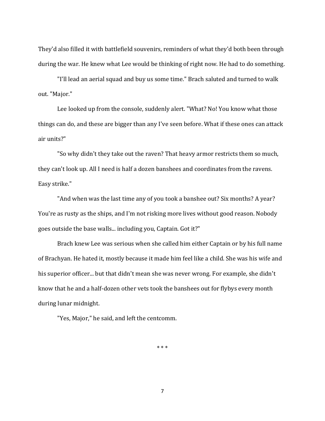They'd also filled it with battlefield souvenirs, reminders of what they'd both been through during the war. He knew what Lee would be thinking of right now. He had to do something.

"I'll lead an aerial squad and buy us some time." Brach saluted and turned to walk out. "Major."

Lee looked up from the console, suddenly alert. "What? No! You know what those things can do, and these are bigger than any I've seen before. What if these ones can attack air units?"

"So why didn't they take out the raven? That heavy armor restricts them so much, they can't look up. All I need is half a dozen banshees and coordinates from the ravens. Easy strike."

"And when was the last time any of you took a banshee out? Six months? A year? You're as rusty as the ships, and I'm not risking more lives without good reason. Nobody goes outside the base walls... including you, Captain. Got it?"

Brach knew Lee was serious when she called him either Captain or by his full name of Brachyan. He hated it, mostly because it made him feel like a child. She was his wife and his superior officer... but that didn't mean she was never wrong. For example, she didn't know that he and a half-dozen other vets took the banshees out for flybys every month during lunar midnight.

"Yes, Major," he said, and left the centcomm.

\* \* \*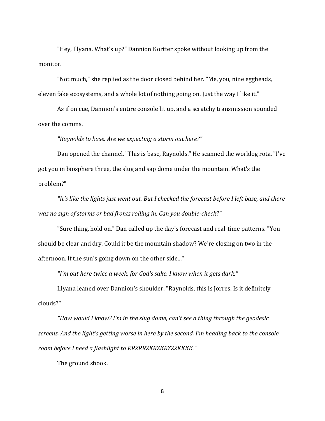"Hey, Illyana. What's up?" Dannion Kortter spoke without looking up from the monitor.

"Not much," she replied as the door closed behind her. "Me, you, nine eggheads, eleven fake ecosystems, and a whole lot of nothing going on. Just the way I like it."

As if on cue, Dannion's entire console lit up, and a scratchy transmission sounded over the comms.

*"Raynolds to base. Are we expecting a storm out here?"*

Dan opened the channel. "This is base, Raynolds." He scanned the worklog rota. "I've got you in biosphere three, the slug and sap dome under the mountain. What's the problem?"

*"It's like the lights just went out. But I checked the forecast before I left base, and there was no sign of storms or bad fronts rolling in. Can you double-check?"*

"Sure thing, hold on." Dan called up the day's forecast and real-time patterns. "You should be clear and dry. Could it be the mountain shadow? We're closing on two in the afternoon. If the sun's going down on the other side..."

*"I'm out here twice a week, for God's sake. I know when it gets dark."*

Illyana leaned over Dannion's shoulder. "Raynolds, this is Jorres. Is it definitely clouds?"

*"How would I know? I'm in the slug dome, can't see a thing through the geodesic screens. And the light's getting worse in here by the second. I'm heading back to the console room before I need a flashlight to KRZRRZKRZKRZZZKKKK."*

The ground shook.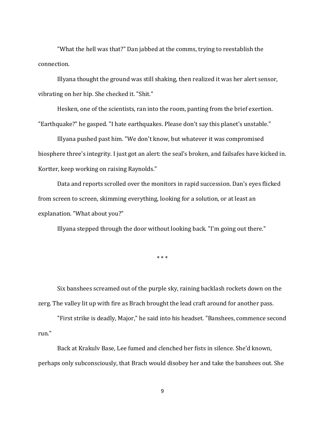"What the hell was that?" Dan jabbed at the comms, trying to reestablish the connection.

Illyana thought the ground was still shaking, then realized it was her alert sensor, vibrating on her hip. She checked it. "Shit."

Hesken, one of the scientists, ran into the room, panting from the brief exertion. "Earthquake?" he gasped. "I hate earthquakes. Please don't say this planet's unstable."

Illyana pushed past him. "We don't know, but whatever it was compromised biosphere three's integrity. I just got an alert: the seal's broken, and failsafes have kicked in. Kortter, keep working on raising Raynolds."

Data and reports scrolled over the monitors in rapid succession. Dan's eyes flicked from screen to screen, skimming everything, looking for a solution, or at least an explanation. "What about you?"

Illyana stepped through the door without looking back. "I'm going out there."

\* \* \*

Six banshees screamed out of the purple sky, raining backlash rockets down on the zerg. The valley lit up with fire as Brach brought the lead craft around for another pass.

"First strike is deadly, Major," he said into his headset. "Banshees, commence second run."

Back at Krakulv Base, Lee fumed and clenched her fists in silence. She'd known, perhaps only subconsciously, that Brach would disobey her and take the banshees out. She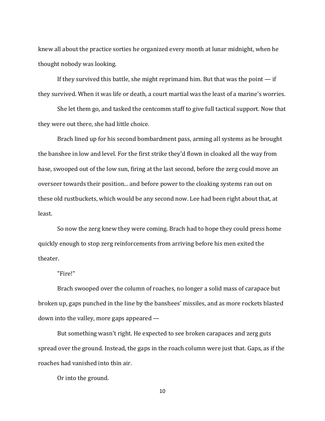knew all about the practice sorties he organized every month at lunar midnight, when he thought nobody was looking.

If they survived this battle, she might reprimand him. But that was the point  $-$  if they survived. When it was life or death, a court martial was the least of a marine's worries.

She let them go, and tasked the centcomm staff to give full tactical support. Now that they were out there, she had little choice.

Brach lined up for his second bombardment pass, arming all systems as he brought the banshee in low and level. For the first strike they'd flown in cloaked all the way from base, swooped out of the low sun, firing at the last second, before the zerg could move an overseer towards their position... and before power to the cloaking systems ran out on these old rustbuckets, which would be any second now. Lee had been right about that, at least.

So now the zerg knew they were coming. Brach had to hope they could press home quickly enough to stop zerg reinforcements from arriving before his men exited the theater.

"Fire!"

Brach swooped over the column of roaches, no longer a solid mass of carapace but broken up, gaps punched in the line by the banshees' missiles, and as more rockets blasted down into the valley, more gaps appeared —

But something wasn't right. He expected to see broken carapaces and zerg guts spread over the ground. Instead, the gaps in the roach column were just that. Gaps, as if the roaches had vanished into thin air.

Or into the ground.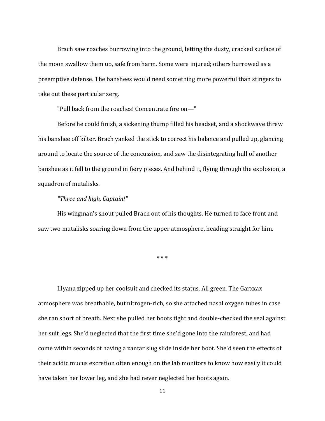Brach saw roaches burrowing into the ground, letting the dusty, cracked surface of the moon swallow them up, safe from harm. Some were injured; others burrowed as a preemptive defense. The banshees would need something more powerful than stingers to take out these particular zerg.

"Pull back from the roaches! Concentrate fire on—"

Before he could finish, a sickening thump filled his headset, and a shockwave threw his banshee off kilter. Brach yanked the stick to correct his balance and pulled up, glancing around to locate the source of the concussion, and saw the disintegrating hull of another banshee as it fell to the ground in fiery pieces. And behind it, flying through the explosion, a squadron of mutalisks.

# *"Three and high, Captain!"*

His wingman's shout pulled Brach out of his thoughts. He turned to face front and saw two mutalisks soaring down from the upper atmosphere, heading straight for him.

\* \* \*

Illyana zipped up her coolsuit and checked its status. All green. The Garxxax atmosphere was breathable, but nitrogen-rich, so she attached nasal oxygen tubes in case she ran short of breath. Next she pulled her boots tight and double-checked the seal against her suit legs. She'd neglected that the first time she'd gone into the rainforest, and had come within seconds of having a zantar slug slide inside her boot. She'd seen the effects of their acidic mucus excretion often enough on the lab monitors to know how easily it could have taken her lower leg, and she had never neglected her boots again.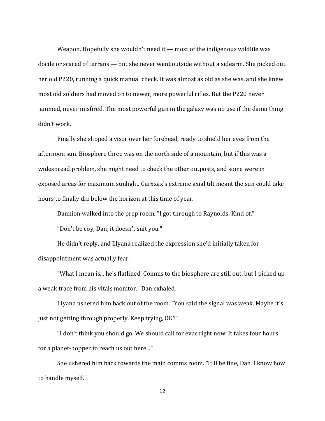Weapon. Hopefully she wouldn't need it — most of the indigenous wildlife was docile or scared of terrans — but she never went outside without a sidearm. She picked out her old P220, running a quick manual check. It was almost as old as she was, and she knew most old soldiers had moved on to newer, more powerful rifles. But the P220 never jammed, never misfired. The most powerful gun in the galaxy was no use if the damn thing didn't work.

Finally she slipped a visor over her forehead, ready to shield her eyes from the afternoon sun. Biosphere three was on the north side of a mountain, but if this was a widespread problem, she might need to check the other outposts, and some were in exposed areas for maximum sunlight. Garxxax's extreme axial tilt meant the sun could take hours to finally dip below the horizon at this time of year.

Dannion walked into the prep room. "I got through to Raynolds. Kind of."

"Don't be coy, Dan; it doesn't suit you."

He didn't reply, and Illyana realized the expression she'd initially taken for disappointment was actually fear.

"What I mean is... he's flatlined. Comms to the biosphere are still out, but I picked up a weak trace from his vitals monitor." Dan exhaled.

Illyana ushered him back out of the room. "You said the signal was weak. Maybe it's just not getting through properly. Keep trying, OK?"

"I don't think you should go. We should call for evac right now. It takes four hours for a planet-hopper to reach us out here..."

She ushered him back towards the main comms room. "It'll be fine, Dan. I know how to handle myself."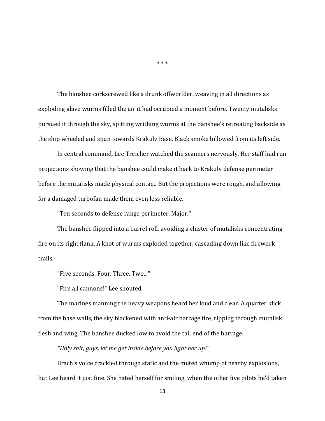The banshee corkscrewed like a drunk offworlder, weaving in all directions as exploding glave wurms filled the air it had occupied a moment before. Twenty mutalisks pursued it through the sky, spitting writhing wurms at the banshee's retreating backside as the ship wheeled and spun towards Krakulv Base. Black smoke billowed from its left side.

\* \* \*

In central command, Lee Treicher watched the scanners nervously. Her staff had run projections showing that the banshee could make it back to Krakulv defense perimeter before the mutalisks made physical contact. But the projections were rough, and allowing for a damaged turbofan made them even less reliable.

"Ten seconds to defense range perimeter, Major."

The banshee flipped into a barrel roll, avoiding a cluster of mutalisks concentrating fire on its right flank. A knot of wurms exploded together, cascading down like firework trails.

"Five seconds. Four. Three. Two..."

"Fire all cannons!" Lee shouted.

The marines manning the heavy weapons heard her loud and clear. A quarter klick from the base walls, the sky blackened with anti-air barrage fire, ripping through mutalisk flesh and wing. The banshee ducked low to avoid the tail end of the barrage.

*"Holy shit, guys, let me get inside before you light her up!"*

Brach's voice crackled through static and the muted whump of nearby explosions, but Lee heard it just fine. She hated herself for smiling, when the other five pilots he'd taken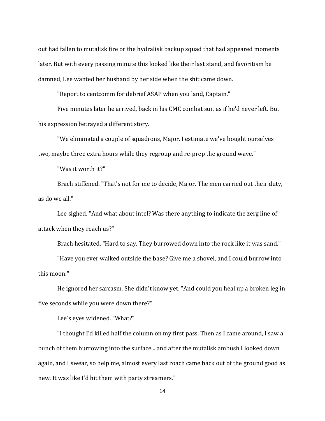out had fallen to mutalisk fire or the hydralisk backup squad that had appeared moments later. But with every passing minute this looked like their last stand, and favoritism be damned, Lee wanted her husband by her side when the shit came down.

"Report to centcomm for debrief ASAP when you land, Captain."

Five minutes later he arrived, back in his CMC combat suit as if he'd never left. But his expression betrayed a different story.

"We eliminated a couple of squadrons, Major. I estimate we've bought ourselves two, maybe three extra hours while they regroup and re-prep the ground wave."

"Was it worth it?"

Brach stiffened. "That's not for me to decide, Major. The men carried out their duty, as do we all."

Lee sighed. "And what about intel? Was there anything to indicate the zerg line of attack when they reach us?"

Brach hesitated. "Hard to say. They burrowed down into the rock like it was sand."

"Have you ever walked outside the base? Give me a shovel, and I could burrow into this moon."

He ignored her sarcasm. She didn't know yet. "And could you heal up a broken leg in five seconds while you were down there?"

Lee's eyes widened. "What?"

"I thought I'd killed half the column on my first pass. Then as I came around, I saw a bunch of them burrowing into the surface... and after the mutalisk ambush I looked down again, and I swear, so help me, almost every last roach came back out of the ground good as new. It was like I'd hit them with party streamers."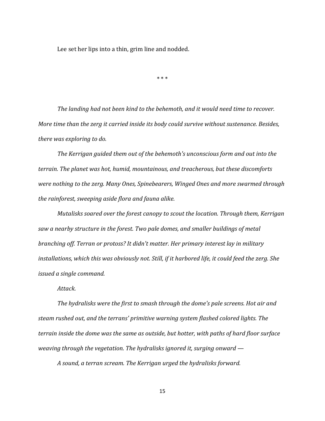Lee set her lips into a thin, grim line and nodded.

\* \* \*

*The landing had not been kind to the behemoth, and it would need time to recover. More time than the zerg it carried inside its body could survive without sustenance. Besides, there was exploring to do.*

*The Kerrigan guided them out of the behemoth's unconscious form and out into the terrain. The planet was hot, humid, mountainous, and treacherous, but these discomforts were nothing to the zerg. Many Ones, Spinebearers, Winged Ones and more swarmed through the rainforest, sweeping aside flora and fauna alike.*

*Mutalisks soared over the forest canopy to scout the location. Through them, Kerrigan saw a nearby structure in the forest. Two pale domes, and smaller buildings of metal branching off. Terran or protoss? It didn't matter. Her primary interest lay in military installations, which this was obviously not. Still, if it harbored life, it could feed the zerg. She issued a single command.*

*Attack.*

*The hydralisks were the first to smash through the dome's pale screens. Hot air and steam rushed out, and the terrans' primitive warning system flashed colored lights. The terrain inside the dome was the same as outside, but hotter, with paths of hard floor surface weaving through the vegetation. The hydralisks ignored it, surging onward —*

*A sound, a terran scream. The Kerrigan urged the hydralisks forward.*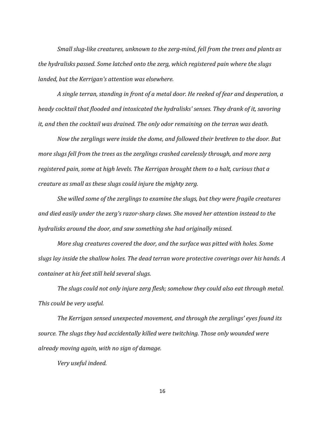*Small slug-like creatures, unknown to the zerg-mind, fell from the trees and plants as the hydralisks passed. Some latched onto the zerg, which registered pain where the slugs landed, but the Kerrigan's attention was elsewhere.*

*A single terran, standing in front of a metal door. He reeked of fear and desperation, a heady cocktail that flooded and intoxicated the hydralisks' senses. They drank of it, savoring it, and then the cocktail was drained. The only odor remaining on the terran was death.*

*Now the zerglings were inside the dome, and followed their brethren to the door. But more slugs fell from the trees as the zerglings crashed carelessly through, and more zerg registered pain, some at high levels. The Kerrigan brought them to a halt, curious that a creature as small as these slugs could injure the mighty zerg.*

*She willed some of the zerglings to examine the slugs, but they were fragile creatures and died easily under the zerg's razor-sharp claws. She moved her attention instead to the hydralisks around the door, and saw something she had originally missed.*

*More slug creatures covered the door, and the surface was pitted with holes. Some slugs lay inside the shallow holes. The dead terran wore protective coverings over his hands. A container at his feet still held several slugs.*

*The slugs could not only injure zerg flesh; somehow they could also eat through metal. This could be very useful.*

*The Kerrigan sensed unexpected movement, and through the zerglings' eyes found its source. The slugs they had accidentally killed were twitching. Those only wounded were already moving again, with no sign of damage.*

*Very useful indeed.*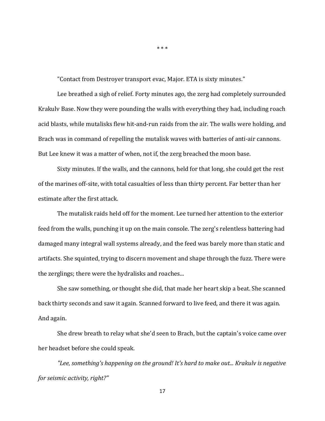"Contact from Destroyer transport evac, Major. ETA is sixty minutes."

Lee breathed a sigh of relief. Forty minutes ago, the zerg had completely surrounded Krakulv Base. Now they were pounding the walls with everything they had, including roach acid blasts, while mutalisks flew hit-and-run raids from the air. The walls were holding, and Brach was in command of repelling the mutalisk waves with batteries of anti-air cannons. But Lee knew it was a matter of when, not if, the zerg breached the moon base.

Sixty minutes. If the walls, and the cannons, held for that long, she could get the rest of the marines off-site, with total casualties of less than thirty percent. Far better than her estimate after the first attack.

The mutalisk raids held off for the moment. Lee turned her attention to the exterior feed from the walls, punching it up on the main console. The zerg's relentless battering had damaged many integral wall systems already, and the feed was barely more than static and artifacts. She squinted, trying to discern movement and shape through the fuzz. There were the zerglings; there were the hydralisks and roaches...

She saw something, or thought she did, that made her heart skip a beat. She scanned back thirty seconds and saw it again. Scanned forward to live feed, and there it was again. And again.

She drew breath to relay what she'd seen to Brach, but the captain's voice came over her headset before she could speak.

*"Lee, something's happening on the ground! It's hard to make out... Krakulv is negative for seismic activity, right?"*

\* \* \*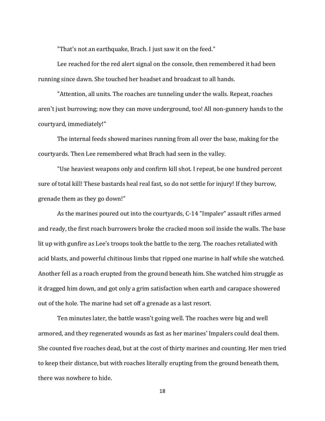"That's not an earthquake, Brach. I just saw it on the feed."

Lee reached for the red alert signal on the console, then remembered it had been running since dawn. She touched her headset and broadcast to all hands.

"Attention, all units. The roaches are tunneling under the walls. Repeat, roaches aren't just burrowing; now they can move underground, too! All non-gunnery hands to the courtyard, immediately!"

The internal feeds showed marines running from all over the base, making for the courtyards. Then Lee remembered what Brach had seen in the valley.

"Use heaviest weapons only and confirm kill shot. I repeat, be one hundred percent sure of total kill! These bastards heal real fast, so do not settle for injury! If they burrow, grenade them as they go down!"

As the marines poured out into the courtyards, C-14 "Impaler" assault rifles armed and ready, the first roach burrowers broke the cracked moon soil inside the walls. The base lit up with gunfire as Lee's troops took the battle to the zerg. The roaches retaliated with acid blasts, and powerful chitinous limbs that ripped one marine in half while she watched. Another fell as a roach erupted from the ground beneath him. She watched him struggle as it dragged him down, and got only a grim satisfaction when earth and carapace showered out of the hole. The marine had set off a grenade as a last resort.

Ten minutes later, the battle wasn't going well. The roaches were big and well armored, and they regenerated wounds as fast as her marines' Impalers could deal them. She counted five roaches dead, but at the cost of thirty marines and counting. Her men tried to keep their distance, but with roaches literally erupting from the ground beneath them, there was nowhere to hide.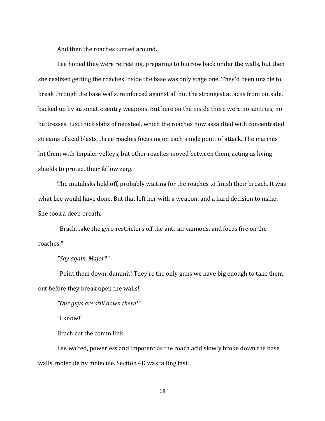And then the roaches turned around.

Lee hoped they were retreating, preparing to burrow back under the walls, but then she realized getting the roaches inside the base was only stage one. They'd been unable to break through the base walls, reinforced against all but the strongest attacks from outside, backed up by automatic sentry weapons. But here on the inside there were no sentries, no buttresses. Just thick slabs of neosteel, which the roaches now assaulted with concentrated streams of acid blasts, three roaches focusing on each single point of attack. The marines hit them with Impaler volleys, but other roaches moved between them, acting as living shields to protect their fellow zerg.

The mutalisks held off, probably waiting for the roaches to finish their breach. It was what Lee would have done. But that left her with a weapon, and a hard decision to make. She took a deep breath.

"Brach, take the gyro restrictors off the anti-air cannons, and focus fire on the roaches."

### *"Say again, Major?"*

"Point them down, dammit! They're the only guns we have big enough to take them out before they break open the walls!"

*"Our guys are still down there!"*

"I know!"

Brach cut the comm link.

Lee waited, powerless and impotent as the roach acid slowly broke down the base walls, molecule by molecule. Section 4D was falling fast.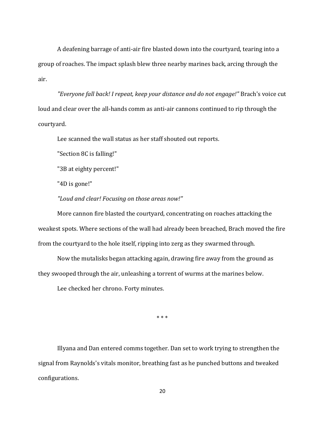A deafening barrage of anti-air fire blasted down into the courtyard, tearing into a group of roaches. The impact splash blew three nearby marines back, arcing through the air.

*"Everyone fall back! I repeat, keep your distance and do not engage!"* Brach's voice cut loud and clear over the all-hands comm as anti-air cannons continued to rip through the courtyard.

Lee scanned the wall status as her staff shouted out reports.

"Section 8C is falling!"

"3B at eighty percent!"

"4D is gone!"

*"Loud and clear! Focusing on those areas now!"*

More cannon fire blasted the courtyard, concentrating on roaches attacking the weakest spots. Where sections of the wall had already been breached, Brach moved the fire from the courtyard to the hole itself, ripping into zerg as they swarmed through.

Now the mutalisks began attacking again, drawing fire away from the ground as they swooped through the air, unleashing a torrent of wurms at the marines below.

Lee checked her chrono. Forty minutes.

\* \* \*

Illyana and Dan entered comms together. Dan set to work trying to strengthen the signal from Raynolds's vitals monitor, breathing fast as he punched buttons and tweaked configurations.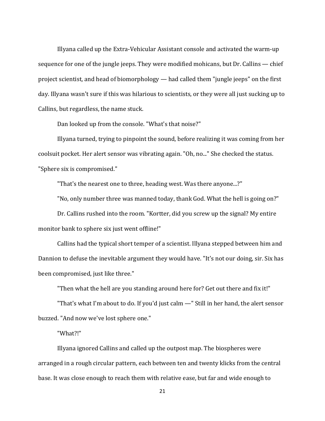Illyana called up the Extra-Vehicular Assistant console and activated the warm-up sequence for one of the jungle jeeps. They were modified mohicans, but Dr. Callins — chief project scientist, and head of biomorphology — had called them "jungle jeeps" on the first day. Illyana wasn't sure if this was hilarious to scientists, or they were all just sucking up to Callins, but regardless, the name stuck.

Dan looked up from the console. "What's that noise?"

Illyana turned, trying to pinpoint the sound, before realizing it was coming from her coolsuit pocket. Her alert sensor was vibrating again. "Oh, no..." She checked the status. "Sphere six is compromised."

"That's the nearest one to three, heading west. Was there anyone...?"

"No, only number three was manned today, thank God. What the hell is going on?"

Dr. Callins rushed into the room. "Kortter, did you screw up the signal? My entire monitor bank to sphere six just went offline!"

Callins had the typical short temper of a scientist. Illyana stepped between him and Dannion to defuse the inevitable argument they would have. "It's not our doing, sir. Six has been compromised, just like three."

"Then what the hell are you standing around here for? Get out there and fix it!"

"That's what I'm about to do. If you'd just calm —" Still in her hand, the alert sensor buzzed. "And now we've lost sphere one."

"What?!"

Illyana ignored Callins and called up the outpost map. The biospheres were arranged in a rough circular pattern, each between ten and twenty klicks from the central base. It was close enough to reach them with relative ease, but far and wide enough to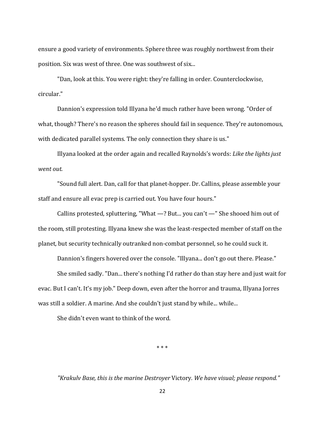ensure a good variety of environments. Sphere three was roughly northwest from their position. Six was west of three. One was southwest of six...

"Dan, look at this. You were right: they're falling in order. Counterclockwise, circular."

Dannion's expression told Illyana he'd much rather have been wrong. "Order of what, though? There's no reason the spheres should fail in sequence. They're autonomous, with dedicated parallel systems. The only connection they share is us."

Illyana looked at the order again and recalled Raynolds's words: *Like the lights just went out.*

"Sound full alert. Dan, call for that planet-hopper. Dr. Callins, please assemble your staff and ensure all evac prep is carried out. You have four hours."

Callins protested, spluttering, "What —? But... you can't —" She shooed him out of the room, still protesting. Illyana knew she was the least-respected member of staff on the planet, but security technically outranked non-combat personnel, so he could suck it.

Dannion's fingers hovered over the console. "Illyana... don't go out there. Please."

She smiled sadly. "Dan... there's nothing I'd rather do than stay here and just wait for evac. But I can't. It's my job." Deep down, even after the horror and trauma, Illyana Jorres was still a soldier. A marine. And she couldn't just stand by while... while...

She didn't even want to think of the word.

\* \* \*

*"Krakulv Base, this is the marine Destroyer* Victory*. We have visual; please respond."*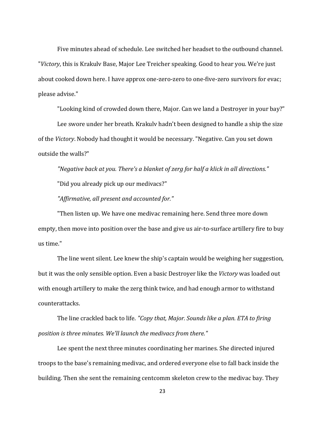Five minutes ahead of schedule. Lee switched her headset to the outbound channel. "*Victory*, this is Krakulv Base, Major Lee Treicher speaking. Good to hear you. We're just about cooked down here. I have approx one-zero-zero to one-five-zero survivors for evac; please advise."

"Looking kind of crowded down there, Major. Can we land a Destroyer in your bay?" Lee swore under her breath. Krakulv hadn't been designed to handle a ship the size of the *Victory*. Nobody had thought it would be necessary. "Negative. Can you set down outside the walls?"

*"Negative back at you. There's a blanket of zerg for half a klick in all directions."* "Did you already pick up our medivacs?"

*"Affirmative, all present and accounted for."*

"Then listen up. We have one medivac remaining here. Send three more down empty, then move into position over the base and give us air-to-surface artillery fire to buy us time."

The line went silent. Lee knew the ship's captain would be weighing her suggestion, but it was the only sensible option. Even a basic Destroyer like the *Victory* was loaded out with enough artillery to make the zerg think twice, and had enough armor to withstand counterattacks.

The line crackled back to life. *"Copy that, Major. Sounds like a plan. ETA to firing position is three minutes. We'll launch the medivacs from there."*

Lee spent the next three minutes coordinating her marines. She directed injured troops to the base's remaining medivac, and ordered everyone else to fall back inside the building. Then she sent the remaining centcomm skeleton crew to the medivac bay. They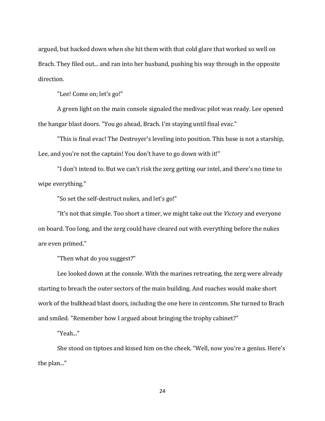argued, but backed down when she hit them with that cold glare that worked so well on Brach. They filed out... and ran into her husband, pushing his way through in the opposite direction.

"Lee! Come on; let's go!"

A green light on the main console signaled the medivac pilot was ready. Lee opened the hangar blast doors. "You go ahead, Brach. I'm staying until final evac."

"This is final evac! The Destroyer's leveling into position. This base is not a starship, Lee, and you're not the captain! You don't have to go down with it!"

"I don't intend to. But we can't risk the zerg getting our intel, and there's no time to wipe everything."

"So set the self-destruct nukes, and let's go!"

"It's not that simple. Too short a timer, we might take out the *Victory* and everyone on board. Too long, and the zerg could have cleared out with everything before the nukes are even primed."

"Then what do you suggest?"

Lee looked down at the console. With the marines retreating, the zerg were already starting to breach the outer sectors of the main building. And roaches would make short work of the bulkhead blast doors, including the one here in centcomm. She turned to Brach and smiled. "Remember how I argued about bringing the trophy cabinet?"

"Yeah..."

She stood on tiptoes and kissed him on the cheek. "Well, now you're a genius. Here's the plan..."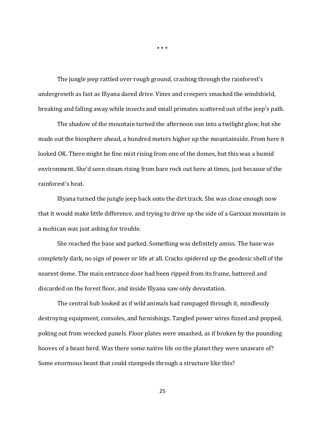The jungle jeep rattled over rough ground, crashing through the rainforest's undergrowth as fast as Illyana dared drive. Vines and creepers smacked the windshield, breaking and falling away while insects and small primates scattered out of the jeep's path.

The shadow of the mountain turned the afternoon sun into a twilight glow, but she made out the biosphere ahead, a hundred meters higher up the mountainside. From here it looked OK. There might be fine mist rising from one of the domes, but this was a humid environment. She'd seen steam rising from bare rock out here at times, just because of the rainforest's heat.

Illyana turned the jungle jeep back onto the dirt track. She was close enough now that it would make little difference, and trying to drive up the side of a Garxxax mountain in a mohican was just asking for trouble.

She reached the base and parked. Something was definitely amiss. The base was completely dark, no sign of power or life at all. Cracks spidered up the geodesic shell of the nearest dome. The main entrance door had been ripped from its frame, battered and discarded on the forest floor, and inside Illyana saw only devastation.

The central hub looked as if wild animals had rampaged through it, mindlessly destroying equipment, consoles, and furnishings. Tangled power wires fizzed and popped, poking out from wrecked panels. Floor plates were smashed, as if broken by the pounding hooves of a beast herd. Was there some native life on the planet they were unaware of? Some enormous beast that could stampede through a structure like this?

\* \* \*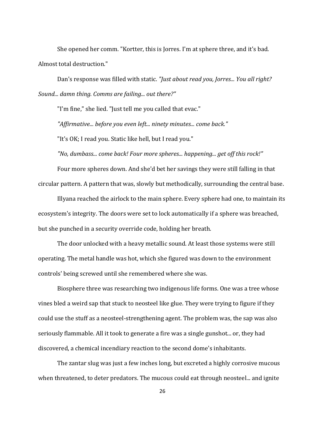She opened her comm. "Kortter, this is Jorres. I'm at sphere three, and it's bad. Almost total destruction."

Dan's response was filled with static. *"Just about read you, Jorres... You all right? Sound... damn thing. Comms are failing... out there?"*

"I'm fine," she lied. "Just tell me you called that evac."

*"Affirmative... before you even left... ninety minutes... come back."*

"It's OK; I read you. Static like hell, but I read you."

*"No, dumbass... come back! Four more spheres... happening... get off this rock!"*

Four more spheres down. And she'd bet her savings they were still falling in that circular pattern. A pattern that was, slowly but methodically, surrounding the central base.

Illyana reached the airlock to the main sphere. Every sphere had one, to maintain its ecosystem's integrity. The doors were set to lock automatically if a sphere was breached, but she punched in a security override code, holding her breath.

The door unlocked with a heavy metallic sound. At least those systems were still operating. The metal handle was hot, which she figured was down to the environment controls' being screwed until she remembered where she was.

Biosphere three was researching two indigenous life forms. One was a tree whose vines bled a weird sap that stuck to neosteel like glue. They were trying to figure if they could use the stuff as a neosteel-strengthening agent. The problem was, the sap was also seriously flammable. All it took to generate a fire was a single gunshot... or, they had discovered, a chemical incendiary reaction to the second dome's inhabitants.

The zantar slug was just a few inches long, but excreted a highly corrosive mucous when threatened, to deter predators. The mucous could eat through neosteel... and ignite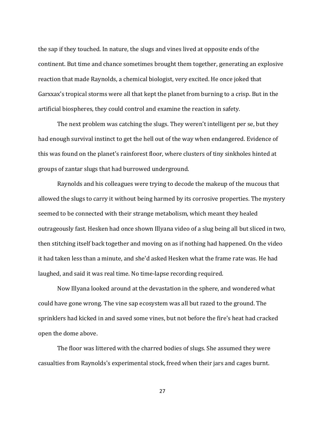the sap if they touched. In nature, the slugs and vines lived at opposite ends of the continent. But time and chance sometimes brought them together, generating an explosive reaction that made Raynolds, a chemical biologist, very excited. He once joked that Garxxax's tropical storms were all that kept the planet from burning to a crisp. But in the artificial biospheres, they could control and examine the reaction in safety.

The next problem was catching the slugs. They weren't intelligent per se, but they had enough survival instinct to get the hell out of the way when endangered. Evidence of this was found on the planet's rainforest floor, where clusters of tiny sinkholes hinted at groups of zantar slugs that had burrowed underground.

Raynolds and his colleagues were trying to decode the makeup of the mucous that allowed the slugs to carry it without being harmed by its corrosive properties. The mystery seemed to be connected with their strange metabolism, which meant they healed outrageously fast. Hesken had once shown Illyana video of a slug being all but sliced in two, then stitching itself back together and moving on as if nothing had happened. On the video it had taken less than a minute, and she'd asked Hesken what the frame rate was. He had laughed, and said it was real time. No time-lapse recording required.

Now Illyana looked around at the devastation in the sphere, and wondered what could have gone wrong. The vine sap ecosystem was all but razed to the ground. The sprinklers had kicked in and saved some vines, but not before the fire's heat had cracked open the dome above.

The floor was littered with the charred bodies of slugs. She assumed they were casualties from Raynolds's experimental stock, freed when their jars and cages burnt.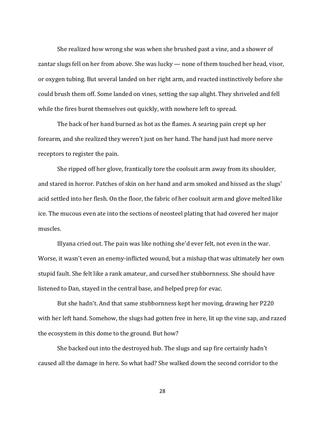She realized how wrong she was when she brushed past a vine, and a shower of zantar slugs fell on her from above. She was lucky — none of them touched her head, visor, or oxygen tubing. But several landed on her right arm, and reacted instinctively before she could brush them off. Some landed on vines, setting the sap alight. They shriveled and fell while the fires burnt themselves out quickly, with nowhere left to spread.

The back of her hand burned as hot as the flames. A searing pain crept up her forearm, and she realized they weren't just on her hand. The hand just had more nerve receptors to register the pain.

She ripped off her glove, frantically tore the coolsuit arm away from its shoulder, and stared in horror. Patches of skin on her hand and arm smoked and hissed as the slugs' acid settled into her flesh. On the floor, the fabric of her coolsuit arm and glove melted like ice. The mucous even ate into the sections of neosteel plating that had covered her major muscles.

Illyana cried out. The pain was like nothing she'd ever felt, not even in the war. Worse, it wasn't even an enemy-inflicted wound, but a mishap that was ultimately her own stupid fault. She felt like a rank amateur, and cursed her stubbornness. She should have listened to Dan, stayed in the central base, and helped prep for evac.

But she hadn't. And that same stubbornness kept her moving, drawing her P220 with her left hand. Somehow, the slugs had gotten free in here, lit up the vine sap, and razed the ecosystem in this dome to the ground. But how?

She backed out into the destroyed hub. The slugs and sap fire certainly hadn't caused all the damage in here. So what had? She walked down the second corridor to the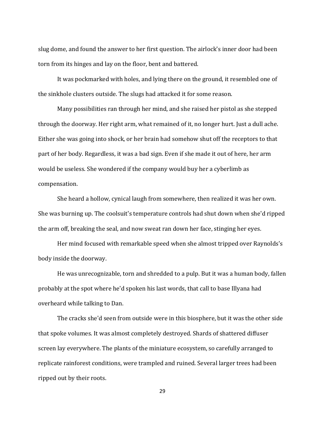slug dome, and found the answer to her first question. The airlock's inner door had been torn from its hinges and lay on the floor, bent and battered.

It was pockmarked with holes, and lying there on the ground, it resembled one of the sinkhole clusters outside. The slugs had attacked it for some reason.

Many possibilities ran through her mind, and she raised her pistol as she stepped through the doorway. Her right arm, what remained of it, no longer hurt. Just a dull ache. Either she was going into shock, or her brain had somehow shut off the receptors to that part of her body. Regardless, it was a bad sign. Even if she made it out of here, her arm would be useless. She wondered if the company would buy her a cyberlimb as compensation.

She heard a hollow, cynical laugh from somewhere, then realized it was her own. She was burning up. The coolsuit's temperature controls had shut down when she'd ripped the arm off, breaking the seal, and now sweat ran down her face, stinging her eyes.

Her mind focused with remarkable speed when she almost tripped over Raynolds's body inside the doorway.

He was unrecognizable, torn and shredded to a pulp. But it was a human body, fallen probably at the spot where he'd spoken his last words, that call to base Illyana had overheard while talking to Dan.

The cracks she'd seen from outside were in this biosphere, but it was the other side that spoke volumes. It was almost completely destroyed. Shards of shattered diffuser screen lay everywhere. The plants of the miniature ecosystem, so carefully arranged to replicate rainforest conditions, were trampled and ruined. Several larger trees had been ripped out by their roots.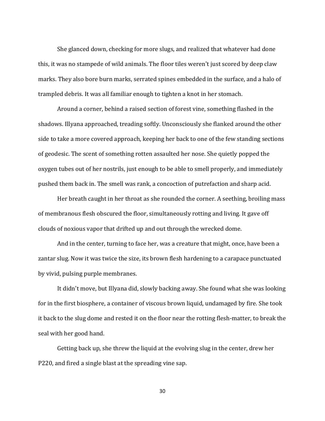She glanced down, checking for more slugs, and realized that whatever had done this, it was no stampede of wild animals. The floor tiles weren't just scored by deep claw marks. They also bore burn marks, serrated spines embedded in the surface, and a halo of trampled debris. It was all familiar enough to tighten a knot in her stomach.

Around a corner, behind a raised section of forest vine, something flashed in the shadows. Illyana approached, treading softly. Unconsciously she flanked around the other side to take a more covered approach, keeping her back to one of the few standing sections of geodesic. The scent of something rotten assaulted her nose. She quietly popped the oxygen tubes out of her nostrils, just enough to be able to smell properly, and immediately pushed them back in. The smell was rank, a concoction of putrefaction and sharp acid.

Her breath caught in her throat as she rounded the corner. A seething, broiling mass of membranous flesh obscured the floor, simultaneously rotting and living. It gave off clouds of noxious vapor that drifted up and out through the wrecked dome.

And in the center, turning to face her, was a creature that might, once, have been a zantar slug. Now it was twice the size, its brown flesh hardening to a carapace punctuated by vivid, pulsing purple membranes.

It didn't move, but Illyana did, slowly backing away. She found what she was looking for in the first biosphere, a container of viscous brown liquid, undamaged by fire. She took it back to the slug dome and rested it on the floor near the rotting flesh-matter, to break the seal with her good hand.

Getting back up, she threw the liquid at the evolving slug in the center, drew her P220, and fired a single blast at the spreading vine sap.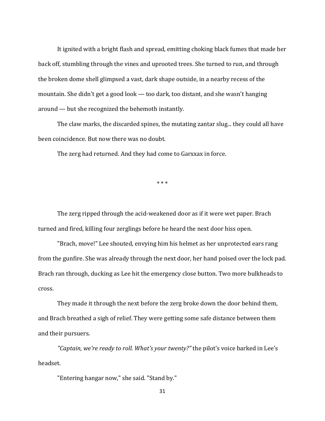It ignited with a bright flash and spread, emitting choking black fumes that made her back off, stumbling through the vines and uprooted trees. She turned to run, and through the broken dome shell glimpsed a vast, dark shape outside, in a nearby recess of the mountain. She didn't get a good look — too dark, too distant, and she wasn't hanging around — but she recognized the behemoth instantly.

The claw marks, the discarded spines, the mutating zantar slug... they could all have been coincidence. But now there was no doubt.

The zerg had returned. And they had come to Garxxax in force.

\* \* \*

The zerg ripped through the acid-weakened door as if it were wet paper. Brach turned and fired, killing four zerglings before he heard the next door hiss open.

"Brach, move!" Lee shouted, envying him his helmet as her unprotected ears rang from the gunfire. She was already through the next door, her hand poised over the lock pad. Brach ran through, ducking as Lee hit the emergency close button. Two more bulkheads to cross.

They made it through the next before the zerg broke down the door behind them, and Brach breathed a sigh of relief. They were getting some safe distance between them and their pursuers.

*"Captain, we're ready to roll. What's your twenty?"* the pilot's voice barked in Lee's headset.

"Entering hangar now," she said. "Stand by."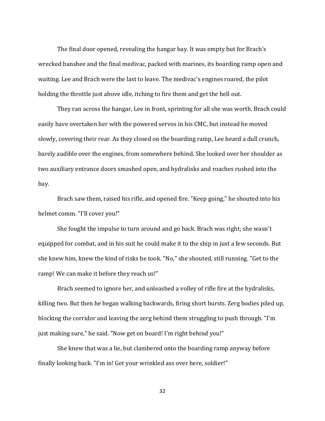The final door opened, revealing the hangar bay. It was empty but for Brach's wrecked banshee and the final medivac, packed with marines, its boarding ramp open and waiting. Lee and Brach were the last to leave. The medivac's engines roared, the pilot holding the throttle just above idle, itching to fire them and get the hell out.

They ran across the hangar, Lee in front, sprinting for all she was worth. Brach could easily have overtaken her with the powered servos in his CMC, but instead he moved slowly, covering their rear. As they closed on the boarding ramp, Lee heard a dull crunch, barely audible over the engines, from somewhere behind. She looked over her shoulder as two auxiliary entrance doors smashed open, and hydralisks and roaches rushed into the bay.

Brach saw them, raised his rifle, and opened fire. "Keep going," he shouted into his helmet comm. "I'll cover you!"

She fought the impulse to turn around and go back. Brach was right; she wasn't equipped for combat, and in his suit he could make it to the ship in just a few seconds. But she knew him, knew the kind of risks he took. "No," she shouted, still running. "Get to the ramp! We can make it before they reach us!"

Brach seemed to ignore her, and unleashed a volley of rifle fire at the hydralisks, killing two. But then he began walking backwards, firing short bursts. Zerg bodies piled up, blocking the corridor and leaving the zerg behind them struggling to push through. "I'm just making sure," he said. "Now get on board! I'm right behind you!"

She knew that was a lie, but clambered onto the boarding ramp anyway before finally looking back. "I'm in! Get your wrinkled ass over here, soldier!"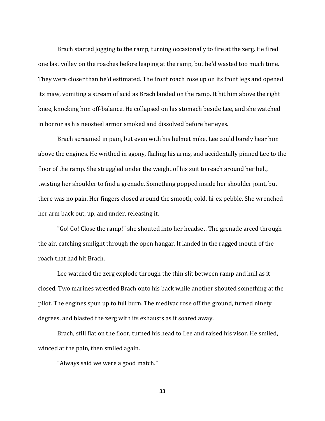Brach started jogging to the ramp, turning occasionally to fire at the zerg. He fired one last volley on the roaches before leaping at the ramp, but he'd wasted too much time. They were closer than he'd estimated. The front roach rose up on its front legs and opened its maw, vomiting a stream of acid as Brach landed on the ramp. It hit him above the right knee, knocking him off-balance. He collapsed on his stomach beside Lee, and she watched in horror as his neosteel armor smoked and dissolved before her eyes.

Brach screamed in pain, but even with his helmet mike, Lee could barely hear him above the engines. He writhed in agony, flailing his arms, and accidentally pinned Lee to the floor of the ramp. She struggled under the weight of his suit to reach around her belt, twisting her shoulder to find a grenade. Something popped inside her shoulder joint, but there was no pain. Her fingers closed around the smooth, cold, hi-ex pebble. She wrenched her arm back out, up, and under, releasing it.

"Go! Go! Close the ramp!" she shouted into her headset. The grenade arced through the air, catching sunlight through the open hangar. It landed in the ragged mouth of the roach that had hit Brach.

Lee watched the zerg explode through the thin slit between ramp and hull as it closed. Two marines wrestled Brach onto his back while another shouted something at the pilot. The engines spun up to full burn. The medivac rose off the ground, turned ninety degrees, and blasted the zerg with its exhausts as it soared away.

Brach, still flat on the floor, turned his head to Lee and raised his visor. He smiled, winced at the pain, then smiled again.

"Always said we were a good match."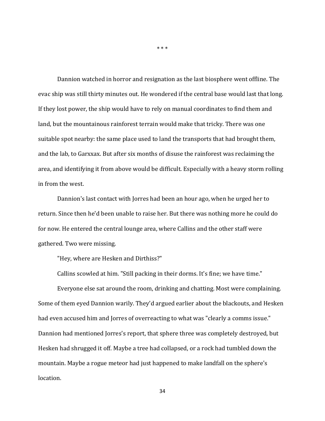Dannion watched in horror and resignation as the last biosphere went offline. The evac ship was still thirty minutes out. He wondered if the central base would last that long. If they lost power, the ship would have to rely on manual coordinates to find them and land, but the mountainous rainforest terrain would make that tricky. There was one suitable spot nearby: the same place used to land the transports that had brought them, and the lab, to Garxxax. But after six months of disuse the rainforest was reclaiming the area, and identifying it from above would be difficult. Especially with a heavy storm rolling in from the west.

Dannion's last contact with Jorres had been an hour ago, when he urged her to return. Since then he'd been unable to raise her. But there was nothing more he could do for now. He entered the central lounge area, where Callins and the other staff were gathered. Two were missing.

"Hey, where are Hesken and Dirthiss?"

Callins scowled at him. "Still packing in their dorms. It's fine; we have time."

Everyone else sat around the room, drinking and chatting. Most were complaining. Some of them eyed Dannion warily. They'd argued earlier about the blackouts, and Hesken had even accused him and Jorres of overreacting to what was "clearly a comms issue." Dannion had mentioned Jorres's report, that sphere three was completely destroyed, but Hesken had shrugged it off. Maybe a tree had collapsed, or a rock had tumbled down the mountain. Maybe a rogue meteor had just happened to make landfall on the sphere's location.

\* \* \*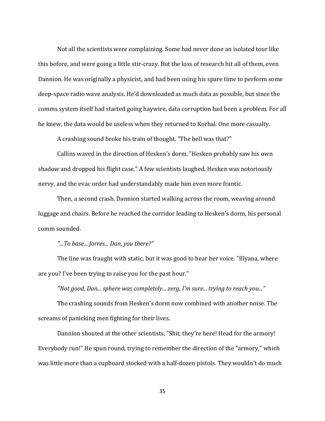Not all the scientists were complaining. Some had never done an isolated tour like this before, and were going a little stir-crazy. But the loss of research hit all of them, even Dannion. He was originally a physicist, and had been using his spare time to perform some deep-space radio wave analysis. He'd downloaded as much data as possible, but since the comms system itself had started going haywire, data corruption had been a problem. For all he knew, the data would be useless when they returned to Korhal. One more casualty.

A crashing sound broke his train of thought. "The hell was that?"

Callins waved in the direction of Hesken's dorm. "Hesken probably saw his own shadow and dropped his flight case." A few scientists laughed. Hesken was notoriously nervy, and the evac order had understandably made him even more frantic.

Then, a second crash. Dannion started walking across the room, weaving around luggage and chairs. Before he reached the corridor leading to Hesken's dorm, his personal comm sounded.

*"...To base... Jorres... Dan, you there?"*

The line was fraught with static, but it was good to hear her voice. "Illyana, where are you? I've been trying to raise you for the past hour."

*"Not good, Dan... sphere was completely... zerg, I'm sure... trying to reach you..."*

The crashing sounds from Hesken's dorm now combined with another noise. The screams of panicking men fighting for their lives.

Dannion shouted at the other scientists, "Shit, they're here! Head for the armory! Everybody run!" He spun round, trying to remember the direction of the "armory," which was little more than a cupboard stocked with a half-dozen pistols. They wouldn't do much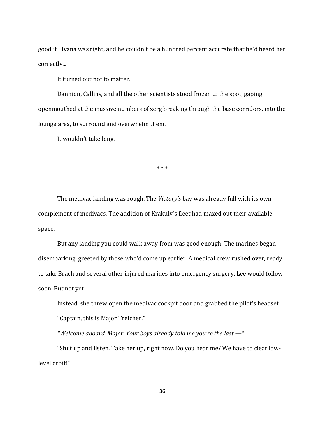good if Illyana was right, and he couldn't be a hundred percent accurate that he'd heard her correctly...

It turned out not to matter.

Dannion, Callins, and all the other scientists stood frozen to the spot, gaping openmouthed at the massive numbers of zerg breaking through the base corridors, into the lounge area, to surround and overwhelm them.

It wouldn't take long.

\* \* \*

The medivac landing was rough. The *Victory's* bay was already full with its own complement of medivacs. The addition of Krakulv's fleet had maxed out their available space.

But any landing you could walk away from was good enough. The marines began disembarking, greeted by those who'd come up earlier. A medical crew rushed over, ready to take Brach and several other injured marines into emergency surgery. Lee would follow soon. But not yet.

Instead, she threw open the medivac cockpit door and grabbed the pilot's headset.

"Captain, this is Major Treicher."

*"Welcome aboard, Major. Your boys already told me you're the last —"*

"Shut up and listen. Take her up, right now. Do you hear me? We have to clear lowlevel orbit!"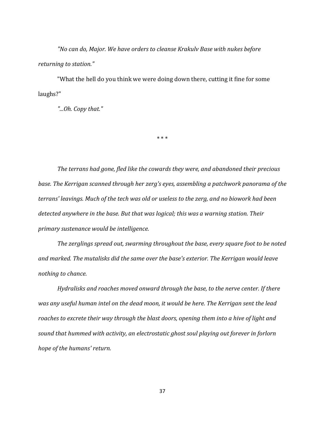*"No can do, Major. We have orders to cleanse Krakulv Base with nukes before returning to station."*

"What the hell do you think we were doing down there, cutting it fine for some laughs?"

*"...Oh. Copy that."*

\* \* \*

*The terrans had gone, fled like the cowards they were, and abandoned their precious base. The Kerrigan scanned through her zerg's eyes, assembling a patchwork panorama of the terrans' leavings. Much of the tech was old or useless to the zerg, and no biowork had been detected anywhere in the base. But that was logical; this was a warning station. Their primary sustenance would be intelligence.*

*The zerglings spread out, swarming throughout the base, every square foot to be noted and marked. The mutalisks did the same over the base's exterior. The Kerrigan would leave nothing to chance.*

*Hydralisks and roaches moved onward through the base, to the nerve center. If there was any useful human intel on the dead moon, it would be here. The Kerrigan sent the lead roaches to excrete their way through the blast doors, opening them into a hive of light and sound that hummed with activity, an electrostatic ghost soul playing out forever in forlorn hope of the humans' return.*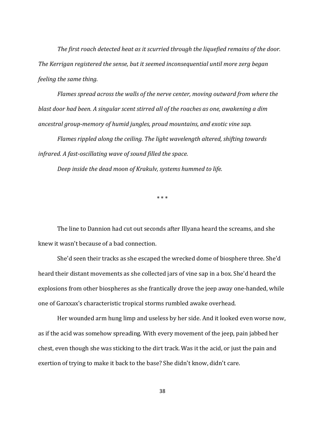*The first roach detected heat as it scurried through the liquefied remains of the door. The Kerrigan registered the sense, but it seemed inconsequential until more zerg began feeling the same thing.*

*Flames spread across the walls of the nerve center, moving outward from where the blast door had been. A singular scent stirred all of the roaches as one, awakening a dim ancestral group-memory of humid jungles, proud mountains, and exotic vine sap.*

*Flames rippled along the ceiling. The light wavelength altered, shifting towards infrared. A fast-oscillating wave of sound filled the space.*

*Deep inside the dead moon of Krakulv, systems hummed to life.*

\* \* \*

The line to Dannion had cut out seconds after Illyana heard the screams, and she knew it wasn't because of a bad connection.

She'd seen their tracks as she escaped the wrecked dome of biosphere three. She'd heard their distant movements as she collected jars of vine sap in a box. She'd heard the explosions from other biospheres as she frantically drove the jeep away one-handed, while one of Garxxax's characteristic tropical storms rumbled awake overhead.

Her wounded arm hung limp and useless by her side. And it looked even worse now, as if the acid was somehow spreading. With every movement of the jeep, pain jabbed her chest, even though she was sticking to the dirt track. Was it the acid, or just the pain and exertion of trying to make it back to the base? She didn't know, didn't care.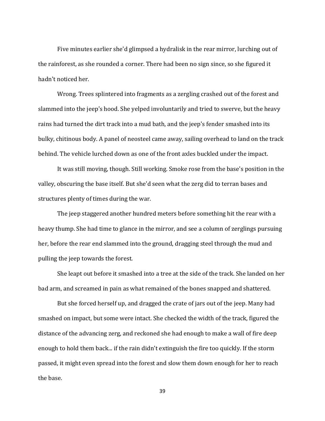Five minutes earlier she'd glimpsed a hydralisk in the rear mirror, lurching out of the rainforest, as she rounded a corner. There had been no sign since, so she figured it hadn't noticed her.

Wrong. Trees splintered into fragments as a zergling crashed out of the forest and slammed into the jeep's hood. She yelped involuntarily and tried to swerve, but the heavy rains had turned the dirt track into a mud bath, and the jeep's fender smashed into its bulky, chitinous body. A panel of neosteel came away, sailing overhead to land on the track behind. The vehicle lurched down as one of the front axles buckled under the impact.

It was still moving, though. Still working. Smoke rose from the base's position in the valley, obscuring the base itself. But she'd seen what the zerg did to terran bases and structures plenty of times during the war.

The jeep staggered another hundred meters before something hit the rear with a heavy thump. She had time to glance in the mirror, and see a column of zerglings pursuing her, before the rear end slammed into the ground, dragging steel through the mud and pulling the jeep towards the forest.

She leapt out before it smashed into a tree at the side of the track. She landed on her bad arm, and screamed in pain as what remained of the bones snapped and shattered.

But she forced herself up, and dragged the crate of jars out of the jeep. Many had smashed on impact, but some were intact. She checked the width of the track, figured the distance of the advancing zerg, and reckoned she had enough to make a wall of fire deep enough to hold them back... if the rain didn't extinguish the fire too quickly. If the storm passed, it might even spread into the forest and slow them down enough for her to reach the base.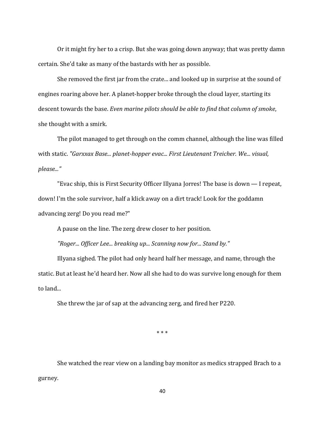Or it might fry her to a crisp. But she was going down anyway; that was pretty damn certain. She'd take as many of the bastards with her as possible.

She removed the first jar from the crate... and looked up in surprise at the sound of engines roaring above her. A planet-hopper broke through the cloud layer, starting its descent towards the base. *Even marine pilots should be able to find that column of smoke*, she thought with a smirk.

The pilot managed to get through on the comm channel, although the line was filled with static. *"Garxxax Base... planet-hopper evac... First Lieutenant Treicher. We... visual, please..."*

"Evac ship, this is First Security Officer Illyana Jorres! The base is down — I repeat, down! I'm the sole survivor, half a klick away on a dirt track! Look for the goddamn advancing zerg! Do you read me?"

A pause on the line. The zerg drew closer to her position.

*"Roger... Officer Lee... breaking up... Scanning now for... Stand by."*

Illyana sighed. The pilot had only heard half her message, and name, through the static. But at least he'd heard her. Now all she had to do was survive long enough for them to land...

She threw the jar of sap at the advancing zerg, and fired her P220.

\* \* \*

She watched the rear view on a landing bay monitor as medics strapped Brach to a gurney.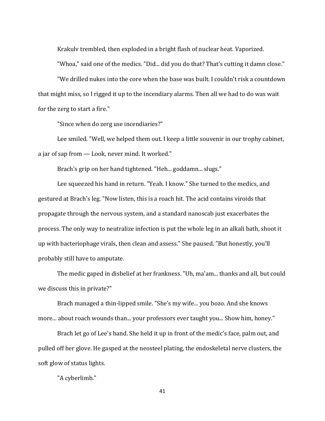Krakulv trembled, then exploded in a bright flash of nuclear heat. Vaporized.

"Whoa," said one of the medics. "Did... did you do that? That's cutting it damn close."

"We drilled nukes into the core when the base was built. I couldn't risk a countdown that might miss, so I rigged it up to the incendiary alarms. Then all we had to do was wait for the zerg to start a fire."

"Since when do zerg use incendiaries?"

Lee smiled. "Well, we helped them out. I keep a little souvenir in our trophy cabinet, a jar of sap from — Look, never mind. It worked."

Brach's grip on her hand tightened. "Heh... goddamn... slugs."

Lee squeezed his hand in return. "Yeah. I know." She turned to the medics, and gestured at Brach's leg. "Now listen, this is a roach hit. The acid contains viroids that propagate through the nervous system, and a standard nanoscab just exacerbates the process. The only way to neutralize infection is put the whole leg in an alkali bath, shoot it up with bacteriophage virals, then clean and assess." She paused. "But honestly, you'll probably still have to amputate.

The medic gaped in disbelief at her frankness. "Uh, ma'am... thanks and all, but could we discuss this in private?"

Brach managed a thin-lipped smile. "She's my wife... you bozo. And she knows more... about roach wounds than... your professors ever taught you... Show him, honey."

Brach let go of Lee's hand. She held it up in front of the medic's face, palm out, and pulled off her glove. He gasped at the neosteel plating, the endoskeletal nerve clusters, the soft glow of status lights.

"A cyberlimb."